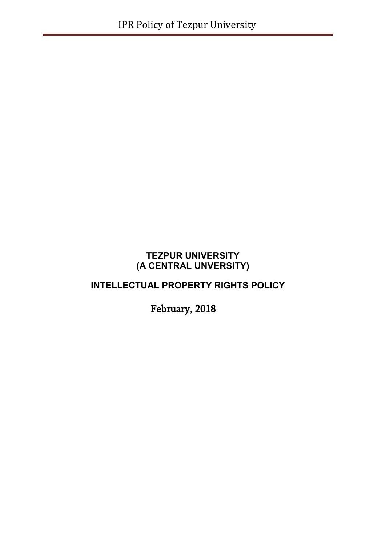# **TEZPUR UNIVERSITY (A CENTRAL UNVERSITY)**

# **INTELLECTUAL PROPERTY RIGHTS POLICY**

February, 2018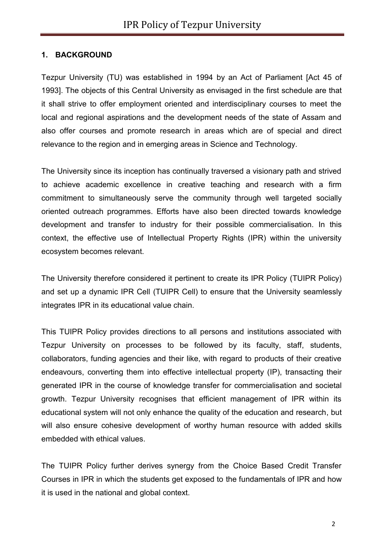### **1. BACKGROUND**

Tezpur University (TU) was established in 1994 by an Act of Parliament [Act 45 of 1993]. The objects of this Central University as envisaged in the first schedule are that it shall strive to offer employment oriented and interdisciplinary courses to meet the local and regional aspirations and the development needs of the state of Assam and also offer courses and promote research in areas which are of special and direct relevance to the region and in emerging areas in Science and Technology.

The University since its inception has continually traversed a visionary path and strived to achieve academic excellence in creative teaching and research with a firm commitment to simultaneously serve the community through well targeted socially oriented outreach programmes. Efforts have also been directed towards knowledge development and transfer to industry for their possible commercialisation. In this context, the effective use of Intellectual Property Rights (IPR) within the university ecosystem becomes relevant.

The University therefore considered it pertinent to create its IPR Policy (TUIPR Policy) and set up a dynamic IPR Cell (TUIPR Cell) to ensure that the University seamlessly integrates IPR in its educational value chain.

This TUIPR Policy provides directions to all persons and institutions associated with Tezpur University on processes to be followed by its faculty, staff, students, collaborators, funding agencies and their like, with regard to products of their creative endeavours, converting them into effective intellectual property (IP), transacting their generated IPR in the course of knowledge transfer for commercialisation and societal growth. Tezpur University recognises that efficient management of IPR within its educational system will not only enhance the quality of the education and research, but will also ensure cohesive development of worthy human resource with added skills embedded with ethical values.

The TUIPR Policy further derives synergy from the Choice Based Credit Transfer Courses in IPR in which the students get exposed to the fundamentals of IPR and how it is used in the national and global context.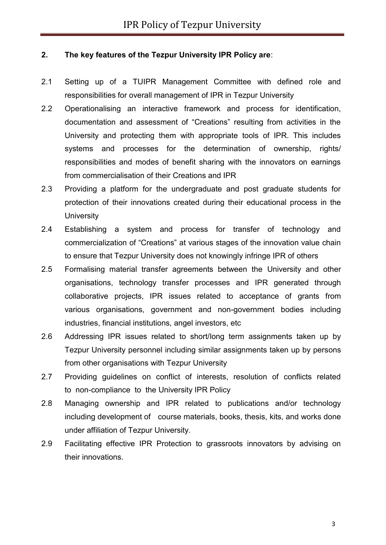#### **2. The key features of the Tezpur University IPR Policy are**:

- 2.1 Setting up of a TUIPR Management Committee with defined role and responsibilities for overall management of IPR in Tezpur University
- 2.2 Operationalising an interactive framework and process for identification, documentation and assessment of "Creations" resulting from activities in the University and protecting them with appropriate tools of IPR. This includes systems and processes for the determination of ownership, rights/ responsibilities and modes of benefit sharing with the innovators on earnings from commercialisation of their Creations and IPR
- 2.3 Providing a platform for the undergraduate and post graduate students for protection of their innovations created during their educational process in the **University**
- 2.4 Establishing a system and process for transfer of technology and commercialization of "Creations" at various stages of the innovation value chain to ensure that Tezpur University does not knowingly infringe IPR of others
- 2.5 Formalising material transfer agreements between the University and other organisations, technology transfer processes and IPR generated through collaborative projects, IPR issues related to acceptance of grants from various organisations, government and non-government bodies including industries, financial institutions, angel investors, etc
- 2.6 Addressing IPR issues related to short/long term assignments taken up by Tezpur University personnel including similar assignments taken up by persons from other organisations with Tezpur University
- 2.7 Providing guidelines on conflict of interests, resolution of conflicts related to non-compliance to the University IPR Policy
- 2.8 Managing ownership and IPR related to publications and/or technology including development of course materials, books, thesis, kits, and works done under affiliation of Tezpur University.
- 2.9 Facilitating effective IPR Protection to grassroots innovators by advising on their innovations.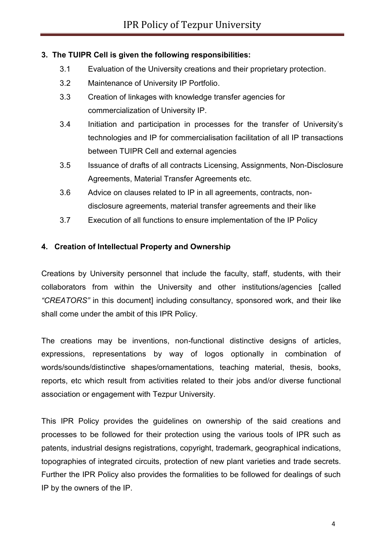## **3. The TUIPR Cell is given the following responsibilities:**

- 3.1 Evaluation of the University creations and their proprietary protection.
- 3.2 Maintenance of University IP Portfolio.
- 3.3 Creation of linkages with knowledge transfer agencies for commercialization of University IP.
- 3.4 Initiation and participation in processes for the transfer of University's technologies and IP for commercialisation facilitation of all IP transactions between TUIPR Cell and external agencies
- 3.5 Issuance of drafts of all contracts Licensing, Assignments, Non-Disclosure Agreements, Material Transfer Agreements etc.
- 3.6 Advice on clauses related to IP in all agreements, contracts, nondisclosure agreements, material transfer agreements and their like
- 3.7 Execution of all functions to ensure implementation of the IP Policy

## **4. Creation of Intellectual Property and Ownership**

Creations by University personnel that include the faculty, staff, students, with their collaborators from within the University and other institutions/agencies [called *"CREATORS"* in this document] including consultancy, sponsored work, and their like shall come under the ambit of this IPR Policy.

The creations may be inventions, non-functional distinctive designs of articles, expressions, representations by way of logos optionally in combination of words/sounds/distinctive shapes/ornamentations, teaching material, thesis, books, reports, etc which result from activities related to their jobs and/or diverse functional association or engagement with Tezpur University.

This IPR Policy provides the guidelines on ownership of the said creations and processes to be followed for their protection using the various tools of IPR such as patents, industrial designs registrations, copyright, trademark, geographical indications, topographies of integrated circuits, protection of new plant varieties and trade secrets. Further the IPR Policy also provides the formalities to be followed for dealings of such IP by the owners of the IP.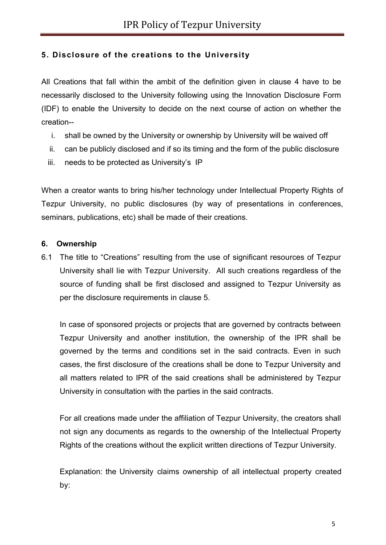# **5. Disclosure of the creations to the University**

All Creations that fall within the ambit of the definition given in clause 4 have to be necessarily disclosed to the University following using the Innovation Disclosure Form (IDF) to enable the University to decide on the next course of action on whether the creation--

- i. shall be owned by the University or ownership by University will be waived off
- ii. can be publicly disclosed and if so its timing and the form of the public disclosure
- iii. needs to be protected as University's IP

When a creator wants to bring his/her technology under Intellectual Property Rights of Tezpur University, no public disclosures (by way of presentations in conferences, seminars, publications, etc) shall be made of their creations.

### **6. Ownership**

6.1 The title to "Creations" resulting from the use of significant resources of Tezpur University shall lie with Tezpur University. All such creations regardless of the source of funding shall be first disclosed and assigned to Tezpur University as per the disclosure requirements in clause 5.

In case of sponsored projects or projects that are governed by contracts between Tezpur University and another institution, the ownership of the IPR shall be governed by the terms and conditions set in the said contracts. Even in such cases, the first disclosure of the creations shall be done to Tezpur University and all matters related to IPR of the said creations shall be administered by Tezpur University in consultation with the parties in the said contracts.

For all creations made under the affiliation of Tezpur University, the creators shall not sign any documents as regards to the ownership of the Intellectual Property Rights of the creations without the explicit written directions of Tezpur University.

Explanation: the University claims ownership of all intellectual property created by: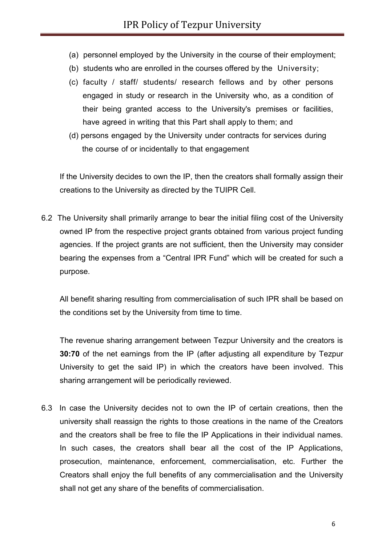- (a) personnel employed by the University in the course of their employment;
- (b) students who are enrolled in the courses offered by the University;
- (c) faculty / staff/ students/ research fellows and by other persons engaged in study or research in the University who, as a condition of their being granted access to the University's premises or facilities, have agreed in writing that this Part shall apply to them; and
- (d) persons engaged by the University under contracts for services during the course of or incidentally to that engagement

If the University decides to own the IP, then the creators shall formally assign their creations to the University as directed by the TUIPR Cell.

6.2 The University shall primarily arrange to bear the initial filing cost of the University owned IP from the respective project grants obtained from various project funding agencies. If the project grants are not sufficient, then the University may consider bearing the expenses from a "Central IPR Fund" which will be created for such a purpose.

All benefit sharing resulting from commercialisation of such IPR shall be based on the conditions set by the University from time to time.

The revenue sharing arrangement between Tezpur University and the creators is **30:70** of the net earnings from the IP (after adjusting all expenditure by Tezpur University to get the said IP) in which the creators have been involved. This sharing arrangement will be periodically reviewed.

6.3 In case the University decides not to own the IP of certain creations, then the university shall reassign the rights to those creations in the name of the Creators and the creators shall be free to file the IP Applications in their individual names. In such cases, the creators shall bear all the cost of the IP Applications, prosecution, maintenance, enforcement, commercialisation, etc. Further the Creators shall enjoy the full benefits of any commercialisation and the University shall not get any share of the benefits of commercialisation.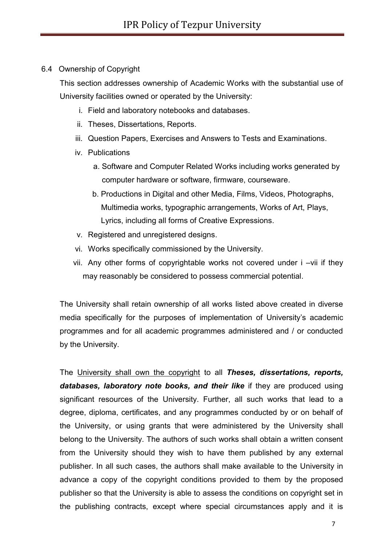#### 6.4 Ownership of Copyright

This section addresses ownership of Academic Works with the substantial use of University facilities owned or operated by the University:

- i. Field and laboratory notebooks and databases.
- ii. Theses, Dissertations, Reports.
- iii. Question Papers, Exercises and Answers to Tests and Examinations.
- iv. Publications
	- a. Software and Computer Related Works including works generated by computer hardware or software, firmware, courseware.
	- b. Productions in Digital and other Media, Films, Videos, Photographs, Multimedia works, typographic arrangements, Works of Art, Plays, Lyrics, including all forms of Creative Expressions.
- v. Registered and unregistered designs.
- vi. Works specifically commissioned by the University.
- vii. Any other forms of copyrightable works not covered under i –vii if they may reasonably be considered to possess commercial potential.

The University shall retain ownership of all works listed above created in diverse media specifically for the purposes of implementation of University's academic programmes and for all academic programmes administered and / or conducted by the University.

The University shall own the copyright to all *Theses, dissertations, reports, databases, laboratory note books, and their like* if they are produced using significant resources of the University. Further, all such works that lead to a degree, diploma, certificates, and any programmes conducted by or on behalf of the University, or using grants that were administered by the University shall belong to the University. The authors of such works shall obtain a written consent from the University should they wish to have them published by any external publisher. In all such cases, the authors shall make available to the University in advance a copy of the copyright conditions provided to them by the proposed publisher so that the University is able to assess the conditions on copyright set in the publishing contracts, except where special circumstances apply and it is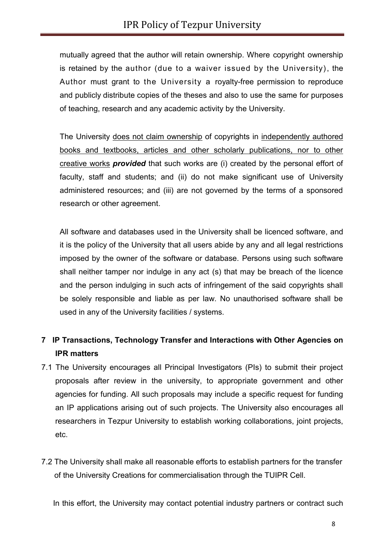mutually agreed that the author will retain ownership. Where copyright ownership is retained by the author (due to a waiver issued by the University), the Author must grant to the University a royalty-free permission to reproduce and publicly distribute copies of the theses and also to use the same for purposes of teaching, research and any academic activity by the University.

The University does not claim ownership of copyrights in independently authored books and textbooks, articles and other scholarly publications, nor to other creative works *provided* that such works are (i) created by the personal effort of faculty, staff and students; and (ii) do not make significant use of University administered resources; and (iii) are not governed by the terms of a sponsored research or other agreement.

All software and databases used in the University shall be licenced software, and it is the policy of the University that all users abide by any and all legal restrictions imposed by the owner of the software or database. Persons using such software shall neither tamper nor indulge in any act (s) that may be breach of the licence and the person indulging in such acts of infringement of the said copyrights shall be solely responsible and liable as per law. No unauthorised software shall be used in any of the University facilities / systems.

# **7 IP Transactions, Technology Transfer and Interactions with Other Agencies on IPR matters**

- 7.1 The University encourages all Principal Investigators (PIs) to submit their project proposals after review in the university, to appropriate government and other agencies for funding. All such proposals may include a specific request for funding an IP applications arising out of such projects. The University also encourages all researchers in Tezpur University to establish working collaborations, joint projects, etc.
- 7.2 The University shall make all reasonable efforts to establish partners for the transfer of the University Creations for commercialisation through the TUIPR Cell.

In this effort, the University may contact potential industry partners or contract such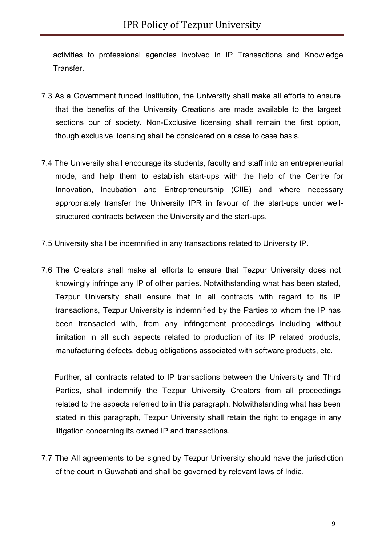activities to professional agencies involved in IP Transactions and Knowledge Transfer.

- 7.3 As a Government funded Institution, the University shall make all efforts to ensure that the benefits of the University Creations are made available to the largest sections our of society. Non-Exclusive licensing shall remain the first option, though exclusive licensing shall be considered on a case to case basis.
- 7.4 The University shall encourage its students, faculty and staff into an entrepreneurial mode, and help them to establish start-ups with the help of the Centre for Innovation, Incubation and Entrepreneurship (CIIE) and where necessary appropriately transfer the University IPR in favour of the start-ups under wellstructured contracts between the University and the start-ups.
- 7.5 University shall be indemnified in any transactions related to University IP.
- 7.6 The Creators shall make all efforts to ensure that Tezpur University does not knowingly infringe any IP of other parties. Notwithstanding what has been stated, Tezpur University shall ensure that in all contracts with regard to its IP transactions, Tezpur University is indemnified by the Parties to whom the IP has been transacted with, from any infringement proceedings including without limitation in all such aspects related to production of its IP related products, manufacturing defects, debug obligations associated with software products, etc.

Further, all contracts related to IP transactions between the University and Third Parties, shall indemnify the Tezpur University Creators from all proceedings related to the aspects referred to in this paragraph. Notwithstanding what has been stated in this paragraph, Tezpur University shall retain the right to engage in any litigation concerning its owned IP and transactions.

7.7 The All agreements to be signed by Tezpur University should have the jurisdiction of the court in Guwahati and shall be governed by relevant laws of India.